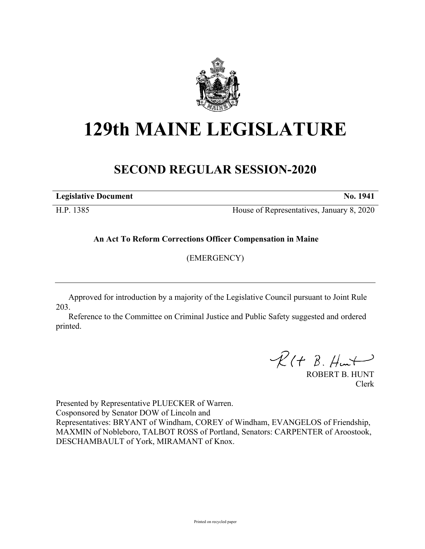

## **129th MAINE LEGISLATURE**

## **SECOND REGULAR SESSION-2020**

**Legislative Document No. 1941**

H.P. 1385 House of Representatives, January 8, 2020

**An Act To Reform Corrections Officer Compensation in Maine**

(EMERGENCY)

Approved for introduction by a majority of the Legislative Council pursuant to Joint Rule 203.

Reference to the Committee on Criminal Justice and Public Safety suggested and ordered printed.

 $R(t B. Hmt)$ 

ROBERT B. HUNT Clerk

Presented by Representative PLUECKER of Warren.

Cosponsored by Senator DOW of Lincoln and

Representatives: BRYANT of Windham, COREY of Windham, EVANGELOS of Friendship, MAXMIN of Nobleboro, TALBOT ROSS of Portland, Senators: CARPENTER of Aroostook, DESCHAMBAULT of York, MIRAMANT of Knox.